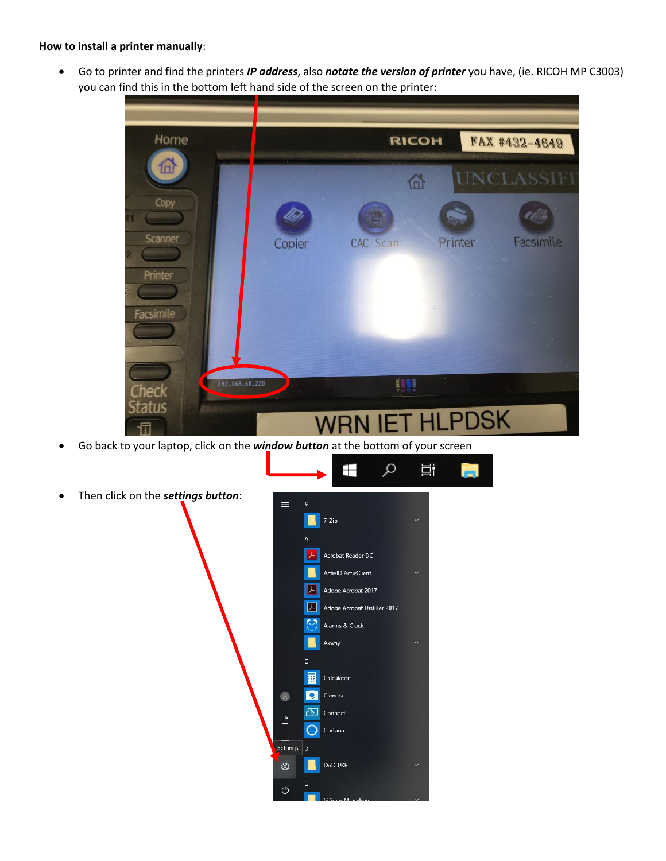## **How to install a printer manually**:

 Go to printer and find the printers *IP address*, also *notate the version of printer* you have, (ie. RICOH MP C3003) you can find this in the bottom left hand side of the screen on the printer:

| Home                    |        | <b>RICOH</b>          |         | FAX #432-4649 |
|-------------------------|--------|-----------------------|---------|---------------|
| 仙                       |        | 岙                     |         | UNCLASSIFI    |
| Copy<br><b>Scanner</b>  |        |                       |         | 0 lim         |
| Printer                 | Copier | <b>CAC</b> Scan       | Printer | Facsimile     |
| Facsimile               |        |                       |         |               |
|                         |        |                       |         |               |
| 192.168.60.220<br>Check |        | UU                    |         |               |
| <b>Status</b>           |        | <b>WRN IET HLPDSK</b> |         |               |

 $\varphi$ 

Ħ

⊞

Go back to your laptop, click on the *window button* at the bottom of your screen

| ═            | #                  |                              |              |
|--------------|--------------------|------------------------------|--------------|
|              |                    | 7-Zip                        | v            |
|              | A                  |                              |              |
|              |                    | Acrobat Reader DC            |              |
|              |                    | <b>ActivID ActivClient</b>   |              |
|              | 又                  | Adobe Acrobat 2017           |              |
|              | X.                 | Adobe Acrobat Distiller 2017 |              |
|              | Υ                  | Alarms & Clock               |              |
|              |                    | Axway                        |              |
|              | $\mathsf{C}$       |                              |              |
|              | 麗                  | Calculator                   |              |
| $\mathbb{R}$ | $\bullet$          | Camera                       |              |
| $\Box$       | $E_{\overline{2}}$ | Connect                      |              |
|              | C                  | Cortana                      |              |
| Settings     | D                  |                              |              |
| ٨            |                    | DoD-PKE                      |              |
| $\circ$      | Ġ                  |                              |              |
|              |                    | G Suite Migration            | $\mathbf{v}$ |

Then click on the *settings button*: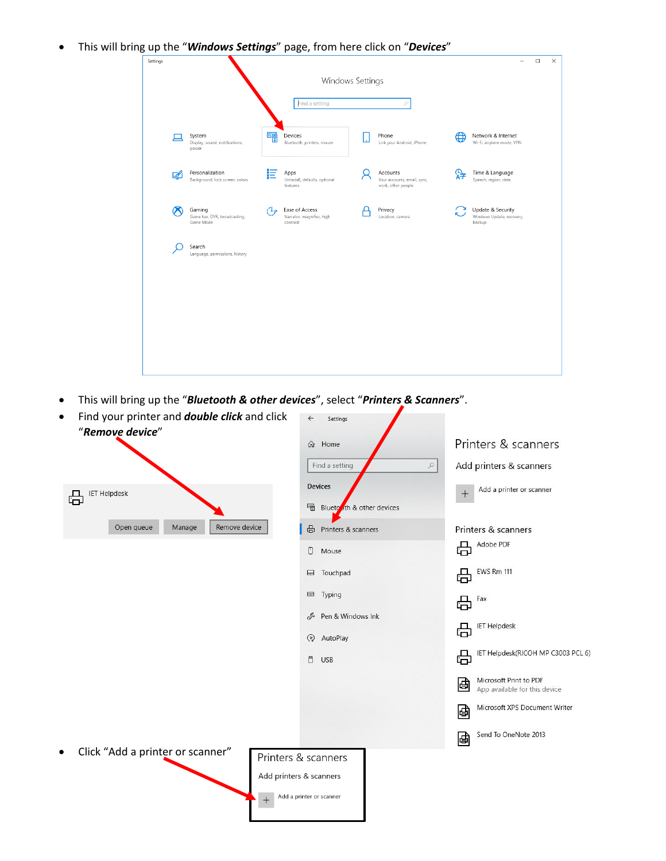This will bring up the "*Windows Settings*" page, from here click on "*Devices*"



This will bring up the "*Bluetooth & other devices*", select "*Printers & Scanners*".

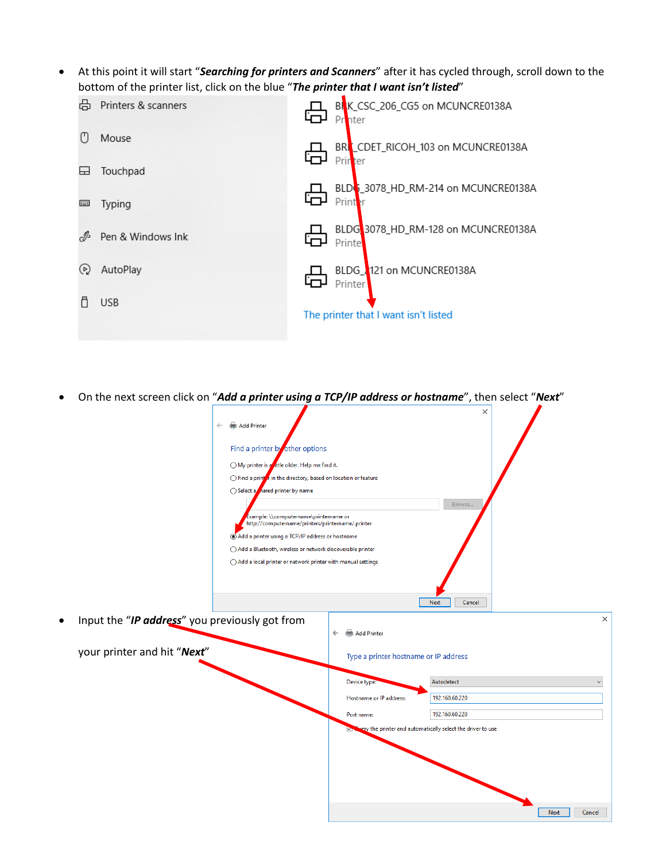At this point it will start "*Searching for printers and Scanners*" after it has cycled through, scroll down to the



On the next screen click on "*Add a printer using a TCP/IP address or hostname*", then select "*Next*"

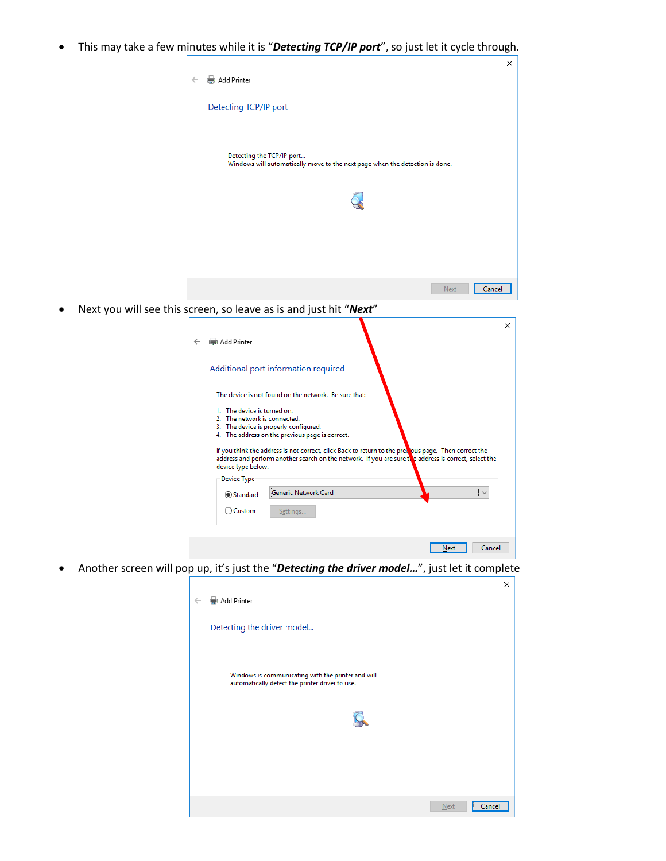This may take a few minutes while it is "*Detecting TCP/IP port*", so just let it cycle through.



Next you will see this screen, so leave as is and just hit "*Next*"

| Add Printer                                                                       |                                                                                                                                                                                                                                                                                                          | ×      |
|-----------------------------------------------------------------------------------|----------------------------------------------------------------------------------------------------------------------------------------------------------------------------------------------------------------------------------------------------------------------------------------------------------|--------|
|                                                                                   | Additional port information required                                                                                                                                                                                                                                                                     |        |
|                                                                                   | The device is not found on the network. Be sure that:                                                                                                                                                                                                                                                    |        |
| 1. The device is turned on.<br>2. The network is connected.<br>device type below. | 3. The device is properly configured.<br>4. The address on the previous page is correct.<br>If you think the address is not correct, click Back to return to the prewous page. Then correct the<br>address and perform another search on the network. If you are sure the address is correct, select the |        |
| Device Type                                                                       |                                                                                                                                                                                                                                                                                                          |        |
| Standard                                                                          |                                                                                                                                                                                                                                                                                                          |        |
| ○ Custom                                                                          | Settings                                                                                                                                                                                                                                                                                                 |        |
|                                                                                   | Next                                                                                                                                                                                                                                                                                                     | Cancel |

Another screen will pop up, it's just the "*Detecting the driver model…*", just let it complete

| Add Printer<br>$\leftarrow$                                                                           | $\times$ |
|-------------------------------------------------------------------------------------------------------|----------|
|                                                                                                       |          |
| Detecting the driver model                                                                            |          |
|                                                                                                       |          |
| Windows is communicating with the printer and will<br>automatically detect the printer driver to use. |          |
|                                                                                                       |          |
|                                                                                                       |          |
|                                                                                                       |          |
|                                                                                                       |          |
|                                                                                                       |          |
| Next<br>Cancel                                                                                        |          |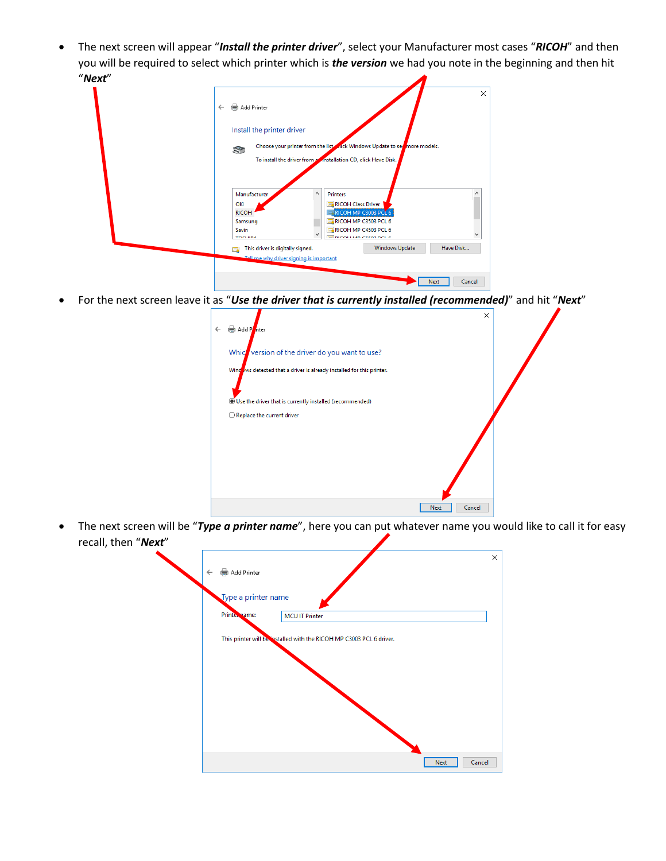The next screen will appear "*Install the printer driver*", select your Manufacturer most cases "*RICOH*" and then you will be required to select which printer which is *the version* we had you note in the beginning and then hit "*Next*"

| Add Printer<br>$\leftarrow$                                                                 | $\times$ |
|---------------------------------------------------------------------------------------------|----------|
| Install the printer driver                                                                  |          |
| Choose your printer from the lister rick Windows Update to set more models.<br>$\mathbb{S}$ |          |
| To install the driver from a installation CD, click Have Disk.                              |          |
|                                                                                             |          |
| $\wedge$<br>Manufacturer<br><b>Printers</b>                                                 |          |
| RICOH Class Driver<br>OKI                                                                   |          |
| RICOH MP C3003 PCL 6<br><b>RICOH</b>                                                        |          |
| RICOH MP C3503 PCL 6<br>Samsung                                                             |          |
| RICOH MP C4503 PCL 6<br>Savin<br>v                                                          |          |
| <b>TOCLUDA</b><br><b>DICOU LA AD CEEDD DCL E</b>                                            |          |
| Have Disk<br><b>Windows Update</b><br>This driver is digitally signed.<br>Q                 |          |
| Tell me why driver signing is important                                                     |          |
|                                                                                             |          |

For the next screen leave it as "*Use the driver that is currently installed (recommended)*" and hit "*Next*"

| Add Pinter<br>$\leftarrow$                                                                                               | $\times$       |
|--------------------------------------------------------------------------------------------------------------------------|----------------|
| Which version of the driver do you want to use?<br>Windows detected that a driver is already installed for this printer. |                |
| Use the driver that is currently installed (recommended)                                                                 |                |
| $\bigcirc$ Replace the current driver                                                                                    |                |
|                                                                                                                          |                |
|                                                                                                                          | Next<br>Cancel |

 The next screen will be "*Type a printer name*", here you can put whatever name you would like to call it for easy recall, then "*Next*"

| <b>NEXL</b> |                                                                      |   |
|-------------|----------------------------------------------------------------------|---|
|             | Add Printer<br>$\leftarrow$                                          | X |
|             | Type a printer name                                                  |   |
|             | Printe, same:<br><b>MCU IT Printer</b>                               |   |
|             | This printer will be installed with the RICOH MP C3003 PCL 6 driver. |   |
|             |                                                                      |   |
|             |                                                                      |   |
|             |                                                                      |   |
|             |                                                                      |   |
|             | Cancel<br>Next                                                       |   |
|             |                                                                      |   |